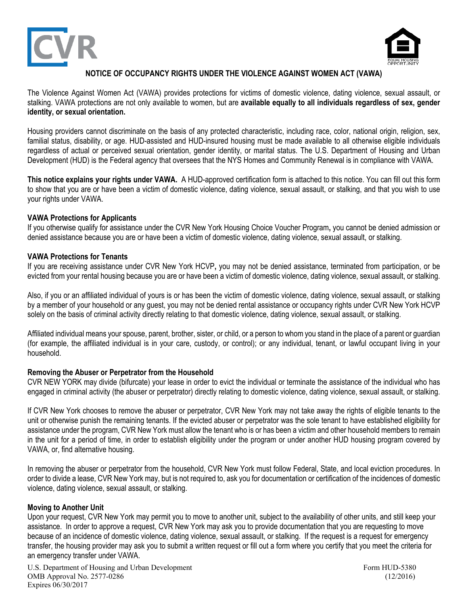



## **NOTICE OF OCCUPANCY RIGHTS UNDER THE VIOLENCE AGAINST WOMEN ACT (VAWA)**

The Violence Against Women Act (VAWA) provides protections for victims of domestic violence, dating violence, sexual assault, or stalking. VAWA protections are not only available to women, but are **available equally to all individuals regardless of sex, gender identity, or sexual orientation.**

Housing providers cannot discriminate on the basis of any protected characteristic, including race, color, national origin, religion, sex, familial status, disability, or age. HUD-assisted and HUD-insured housing must be made available to all otherwise eligible individuals regardless of actual or perceived sexual orientation, gender identity, or marital status. The U.S. Department of Housing and Urban Development (HUD) is the Federal agency that oversees that the NYS Homes and Community Renewal is in compliance with VAWA.

**This notice explains your rights under VAWA.** A HUD-approved certification form is attached to this notice. You can fill out this form to show that you are or have been a victim of domestic violence, dating violence, sexual assault, or stalking, and that you wish to use your rights under VAWA.

#### **VAWA Protections for Applicants**

If you otherwise qualify for assistance under the CVR New York Housing Choice Voucher Program**,** you cannot be denied admission or denied assistance because you are or have been a victim of domestic violence, dating violence, sexual assault, or stalking.

### **VAWA Protections for Tenants**

If you are receiving assistance under CVR New York HCVP**,** you may not be denied assistance, terminated from participation, or be evicted from your rental housing because you are or have been a victim of domestic violence, dating violence, sexual assault, or stalking.

Also, if you or an affiliated individual of yours is or has been the victim of domestic violence, dating violence, sexual assault, or stalking by a member of your household or any guest, you may not be denied rental assistance or occupancy rights under CVR New York HCVP solely on the basis of criminal activity directly relating to that domestic violence, dating violence, sexual assault, or stalking.

Affiliated individual means your spouse, parent, brother, sister, or child, or a person to whom you stand in the place of a parent or guardian (for example, the affiliated individual is in your care, custody, or control); or any individual, tenant, or lawful occupant living in your household.

#### **Removing the Abuser or Perpetrator from the Household**

CVR NEW YORK may divide (bifurcate) your lease in order to evict the individual or terminate the assistance of the individual who has engaged in criminal activity (the abuser or perpetrator) directly relating to domestic violence, dating violence, sexual assault, or stalking.

If CVR New York chooses to remove the abuser or perpetrator, CVR New York may not take away the rights of eligible tenants to the unit or otherwise punish the remaining tenants. If the evicted abuser or perpetrator was the sole tenant to have established eligibility for assistance under the program, CVR New York must allow the tenant who is or has been a victim and other household members to remain in the unit for a period of time, in order to establish eligibility under the program or under another HUD housing program covered by VAWA, or, find alternative housing.

In removing the abuser or perpetrator from the household, CVR New York must follow Federal, State, and local eviction procedures. In order to divide a lease, CVR New York may, but is not required to, ask you for documentation or certification of the incidences of domestic violence, dating violence, sexual assault, or stalking.

#### **Moving to Another Unit**

Upon your request, CVR New York may permit you to move to another unit, subject to the availability of other units, and still keep your assistance. In order to approve a request, CVR New York may ask you to provide documentation that you are requesting to move because of an incidence of domestic violence, dating violence, sexual assault, or stalking. If the request is a request for emergency transfer, the housing provider may ask you to submit a written request or fill out a form where you certify that you meet the criteria for an emergency transfer under VAWA.

U.S. Department of Housing and Urban Development Form HUD-5380 OMB Approval No. 2577-0286 (12/2016) Expires 06/30/2017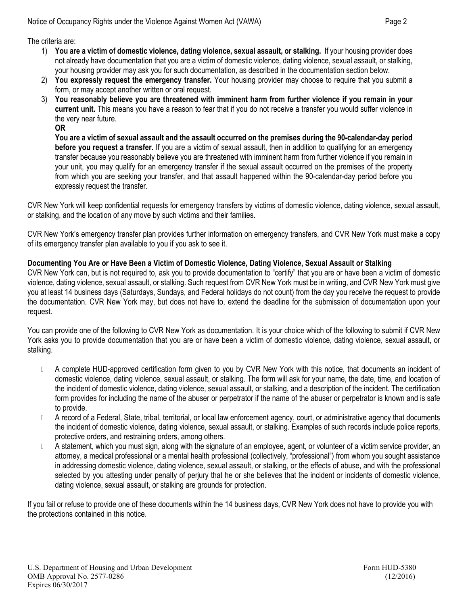The criteria are:

- 1) **You are a victim of domestic violence, dating violence, sexual assault, or stalking.** If your housing provider does not already have documentation that you are a victim of domestic violence, dating violence, sexual assault, or stalking, your housing provider may ask you for such documentation, as described in the documentation section below.
- 2) **You expressly request the emergency transfer.** Your housing provider may choose to require that you submit a form, or may accept another written or oral request.
- 3) You reasonably believe you are threatened with imminent harm from further violence if you remain in your **current unit.** This means you have a reason to fear that if you do not receive a transfer you would suffer violence in the very near future.
	- **OR**

You are a victim of sexual assault and the assault occurred on the premises during the 90-calendar-day period **before you request a transfer.** If you are a victim of sexual assault, then in addition to qualifying for an emergency transfer because you reasonably believe you are threatened with imminent harm from further violence if you remain in your unit, you may qualify for an emergency transfer if the sexual assault occurred on the premises of the property from which you are seeking your transfer, and that assault happened within the 90-calendar-day period before you expressly request the transfer.

CVR New York will keep confidential requests for emergency transfers by victims of domestic violence, dating violence, sexual assault, or stalking, and the location of any move by such victims and their families.

CVR New York's emergency transfer plan provides further information on emergency transfers, and CVR New York must make a copy of its emergency transfer plan available to you if you ask to see it.

# Documenting You Are or Have Been a Victim of Domestic Violence, Dating Violence, Sexual Assault or Stalking

CVR New York can, but is not required to, ask you to provide documentation to "certify" that you are or have been a victim of domestic violence, dating violence, sexual assault, or stalking. Such request from CVR New York must be in writing, and CVR New York must give you at least 14 business days (Saturdays, Sundays, and Federal holidays do not count) from the day you receive the request to provide the documentation. CVR New York may, but does not have to, extend the deadline for the submission of documentation upon your request.

You can provide one of the following to CVR New York as documentation. It is your choice which of the following to submit if CVR New York asks you to provide documentation that you are or have been a victim of domestic violence, dating violence, sexual assault, or stalking.

- D A complete HUD-approved certification form given to you by CVR New York with this notice, that documents an incident of domestic violence, dating violence, sexual assault, or stalking. The form will ask for your name, the date, time, and location of the incident of domestic violence, dating violence, sexual assault, or stalking, and a description of the incident. The certification form provides for including the name of the abuser or perpetrator if the name of the abuser or perpetrator is known and is safe to provide.
- A record of a Federal, State, tribal, territorial, or local law enforcement agency, court, or administrative agency that documents the incident of domestic violence, dating violence, sexual assault, or stalking. Examples of such records include police reports, protective orders, and restraining orders, among others.
- A statement, which you must sign, along with the signature of an employee, agent, or volunteer of a victim service provider, an attorney, a medical professional or a mental health professional (collectively, "professional") from whom you sought assistance in addressing domestic violence, dating violence, sexual assault, or stalking, or the effects of abuse, and with the professional selected by you attesting under penalty of perjury that he or she believes that the incident or incidents of domestic violence, dating violence, sexual assault, or stalking are grounds for protection.

If you fail or refuse to provide one of these documents within the 14 business days, CVR New York does not have to provide you with the protections contained in this notice.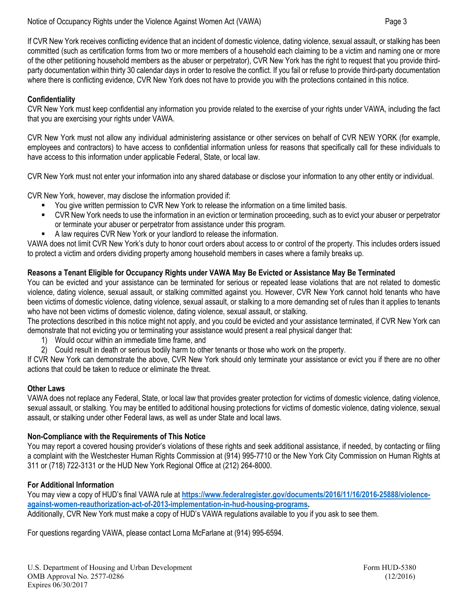If CVR New York receives conflicting evidence that an incident of domestic violence, dating violence, sexual assault, or stalking has been committed (such as certification forms from two or more members of a household each claiming to be a victim and naming one or more of the other petitioning household members as the abuser or perpetrator), CVR New York has the right to request that you provide thirdparty documentation within thirty 30 calendar days in order to resolve the conflict. If you fail or refuse to provide third-party documentation where there is conflicting evidence, CVR New York does not have to provide you with the protections contained in this notice.

# **Confidentiality**

CVR New York must keep confidential any information you provide related to the exercise of your rights under VAWA, including the fact that you are exercising your rights under VAWA.

CVR New York must not allow any individual administering assistance or other services on behalf of CVR NEW YORK (for example, employees and contractors) to have access to confidential information unless for reasons that specifically call for these individuals to have access to this information under applicable Federal, State, or local law.

CVR New York must not enter your information into any shared database or disclose your information to any other entity or individual.

CVR New York, however, may disclose the information provided if:

- You give written permission to CVR New York to release the information on a time limited basis.
- CVR New York needs to use the information in an eviction or termination proceeding, such as to evict your abuser or perpetrator or terminate your abuser or perpetrator from assistance under this program.
- A law requires CVR New York or your landlord to release the information.

VAWA does not limit CVR New York's duty to honor court orders about access to or control of the property. This includes orders issued to protect a victim and orders dividing property among household members in cases where a family breaks up.

## **Reasons a Tenant Eligible for Occupancy Rights under VAWA May Be Evicted or Assistance May Be Terminated**

You can be evicted and your assistance can be terminated for serious or repeated lease violations that are not related to domestic violence, dating violence, sexual assault, or stalking committed against you. However, CVR New York cannot hold tenants who have been victims of domestic violence, dating violence, sexual assault, or stalking to a more demanding set of rules than it applies to tenants who have not been victims of domestic violence, dating violence, sexual assault, or stalking.

The protections described in this notice might not apply, and you could be evicted and your assistance terminated, if CVR New York can demonstrate that not evicting you or terminating your assistance would present a real physical danger that:

1) Would occur within an immediate time frame, and

2) Could result in death or serious bodily harm to other tenants or those who work on the property.

If CVR New York can demonstrate the above, CVR New York should only terminate your assistance or evict you if there are no other actions that could be taken to reduce or eliminate the threat.

#### **Other Laws**

VAWA does not replace any Federal, State, or local law that provides greater protection for victims of domestic violence, dating violence, sexual assault, or stalking. You may be entitled to additional housing protections for victims of domestic violence, dating violence, sexual assault, or stalking under other Federal laws, as well as under State and local laws.

## **Non-Compliance with the Requirements of This Notice**

You may report a covered housing provider's violations of these rights and seek additional assistance, if needed, by contacting or filing a complaint with the Westchester Human Rights Commission at (914) 995-7710 or the New York City Commission on Human Rights at 311 or (718) 722-3131 or the HUD New York Regional Office at (212) 264-8000.

## **For Additional Information**

You may view a copy of HUD's final VAWA rule at **https://www.federalregister.gov/documents/2016/11/16/2016-25888/violenceagainst-women-reauthorization-act-of-2013-implementation-in-hud-housing-programs.**

Additionally, CVR New York must make a copy of HUD's VAWA regulations available to you if you ask to see them.

For questions regarding VAWA, please contact Lorna McFarlane at (914) 995-6594.